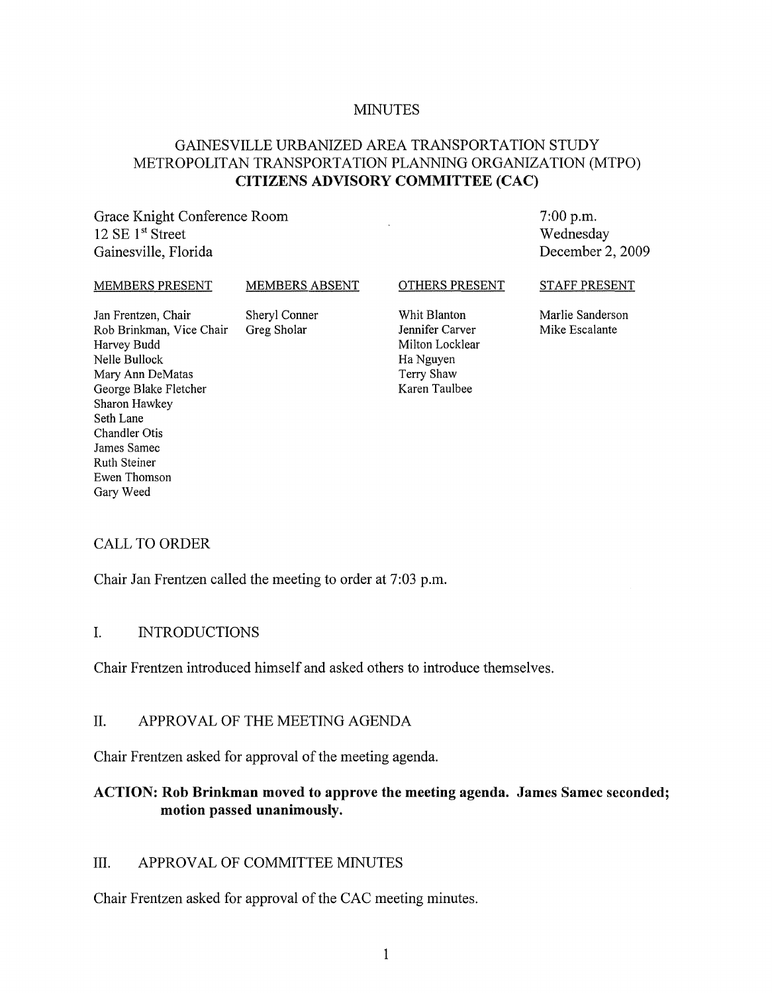#### MINUTES

# GAINESVILLE URBANIZED AREA TRANSPORTATION STUDY METROPOLITAN TRANSPORTATION PLANNING ORGANIZATION (MTPO) **CITIZENS ADVISORY COMMITTEE (CAC)**

Grace Knight Conference Room 12 SE  $1<sup>st</sup>$  Street Gainesville, Florida

7:00 p.m. Wednesday December 2, 2009

#### MEMBERS PRESENT

MEMBERS ABSENT

#### OTHERS PRESENT

Jan Frentzen, Chair Rob Brinkman, Vice Chair Harvey Budd Nelle Bullock Mary Ann DeMatas George Blake Fletcher Sharon Hawkey Seth Lane Chandler Otis James Samec Ruth Steiner Ewen Thomson Gary Weed

Sheryl Conner Greg Sholar

Whit Blanton Jennifer Carver Milton Locklear Ha Nguyen Terry Shaw Karen Taulbee

STAFF PRESENT

Marlie Sanderson Mike Escalante

#### CALL TO ORDER

Chair Jan Frentzen called the meeting to order at 7:03 p.m.

#### I. INTRODUCTIONS

Chair Frentzen introduced himself and asked others to introduce themselves.

#### II. APPROVAL OF THE MEETING AGENDA

Chair Frentzen asked for approval of the meeting agenda.

### **ACTION: Rob Brinkman moved to approve the meeting agenda. James Samec seconded; motion passed unanimously.**

### III. APPROVAL OF COMMITTEE MINUTES

Chair Frentzen asked for approval of the CAC meeting minutes.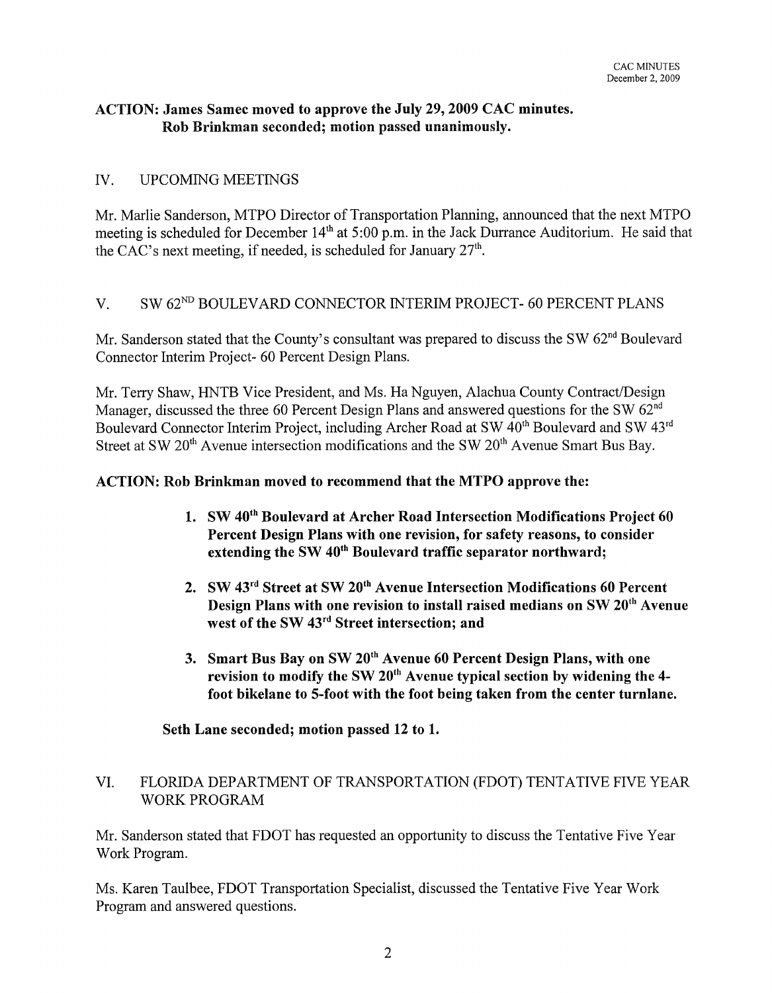# ACTION: James Samec moved to approve the July 29, 2009 CAC minutes. Rob Brinkman seconded; motion passed unanimously.

# IV. UPCOMING MEETINGS

Mr. Marlie Sanderson, MTPO Director of Transportation Planning, announced that the next MTPO meeting is scheduled for December  $14<sup>th</sup>$  at 5:00 p.m. in the Jack Durrance Auditorium. He said that the CAC's next meeting, if needed, is scheduled for January  $27<sup>th</sup>$ .

# V. SW 62ND BOULEVARD CONNECTOR INTERIM PROJECT- 60 PERCENT PLANS

Mr. Sanderson stated that the County's consultant was prepared to discuss the SW 62<sup>nd</sup> Boulevard Connector Interim Project- 60 Percent Design Plans.

Mr. Terry Shaw, HNTB Vice President, and Ms. Ha Nguyen, Alachua County Contract/Design Manager, discussed the three 60 Percent Design Plans and answered questions for the SW 62<sup>nd</sup> Boulevard Connector Interim Project, including Archer Road at SW 40<sup>th</sup> Boulevard and SW 43<sup>rd</sup> Street at SW 20<sup>th</sup> Avenue intersection modifications and the SW 20<sup>th</sup> Avenue Smart Bus Bay.

# ACTION: Rob Brinkman moved to recommend that the MTPO approve the:

- 1. SW 40<sup>th</sup> Boulevard at Archer Road Intersection Modifications Project 60 Percent Design Plans with one revision, for safety reasons, to consider extending the SW 40<sup>th</sup> Boulevard traffic separator northward;
- 2. SW 43<sup>rd</sup> Street at SW 20<sup>th</sup> Avenue Intersection Modifications 60 Percent Design Plans with one revision to install raised medians on SW 20<sup>th</sup> Avenue west of the SW 43<sup>rd</sup> Street intersection; and
- 3. Smart Bus Bay on SW 20<sup>th</sup> Avenue 60 Percent Design Plans, with one revision to modify the SW 20<sup>th</sup> Avenue typical section by widening the 4foot bikelane to 5-foot with the foot being taken from the center turnlane.

# Seth Lane seconded; motion passed 12 to 1.

# VI. FLORIDA DEPARTMENT OF TRANSPORTATION (FDOT) TENTATIVE FIVE YEAR WORK PROGRAM

Mr. Sanderson stated that FDOT has requested an opportunity to discuss the Tentative Five Year Work Program.

Ms. Karen Taulbee, FDOT Transportation Specialist, discussed the Tentative Five Year Work Program and answered questions.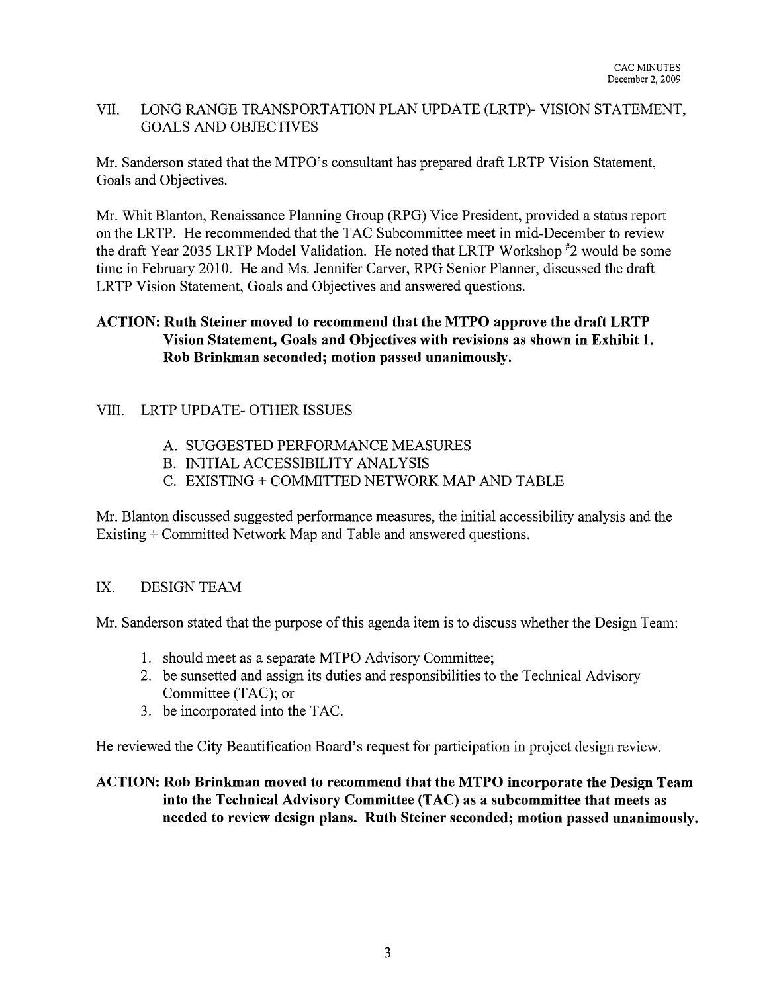# VII. LONG RANGE TRANSPORTATION PLAN UPDATE (LRTP)- VISION STATEMENT, GOALS AND OBJECTIVES

Mr. Sanderson stated that the MTPO's consultant has prepared draft LRTP Vision Statement, Goals and Objectives.

Mr. Whit Blanton, Renaissance Planning Group (RPG) Vice President, provided a status report on the LRTP. He recommended that the TAC Subcommittee meet in mid-December to review the draft Year 2035 LRTP Model Validation. He noted that LRTP Workshop #2 would be some time in February 2010. He and Ms. Jennifer Carver, RPG Senior Planner, discussed the draft LRTP Vision Statement, Goals and Objectives and answered questions.

# ACTION: Ruth Steiner moved to recommend that the MTPO approve the draft LRTP Vision Statement, Goals and Objectives with revisions as shown in Exhibit 1. Rob Brinkman seconded; motion passed unanimously.

# VIII. LRTP UPDATE- OTHER ISSUES

- A. SUGGESTED PERFORMANCE MEASURES
- B. INITIAL ACCESSIBILITY ANALYSIS
- C. EXISTING + COMMITTED NETWORK MAP AND TABLE

Mr. Blanton discussed suggested performance measures, the initial accessibility analysis and the Existing + Committed Network Map and Table and answered questions.

# IX. DESIGN TEAM

Mr. Sanderson stated that the purpose of this agenda item is to discuss whether the Design Team:

- 1. should meet as a separate MTPO Advisory Committee;
- 2. be sunsetted and assign its duties and responsibilities to the Technical Advisory Committee (TAC); or
- 3. be incorporated into the TAC.

He reviewed the City Beautification Board's request for participation in project design review.

# ACTION: Rob Brinkman moved to recommend that the MTPO incorporate the Design Team into the Technical Advisory Committee (TAC) as a subcommittee that meets as needed to review design plans. Ruth Steiner seconded; motion passed unanimously.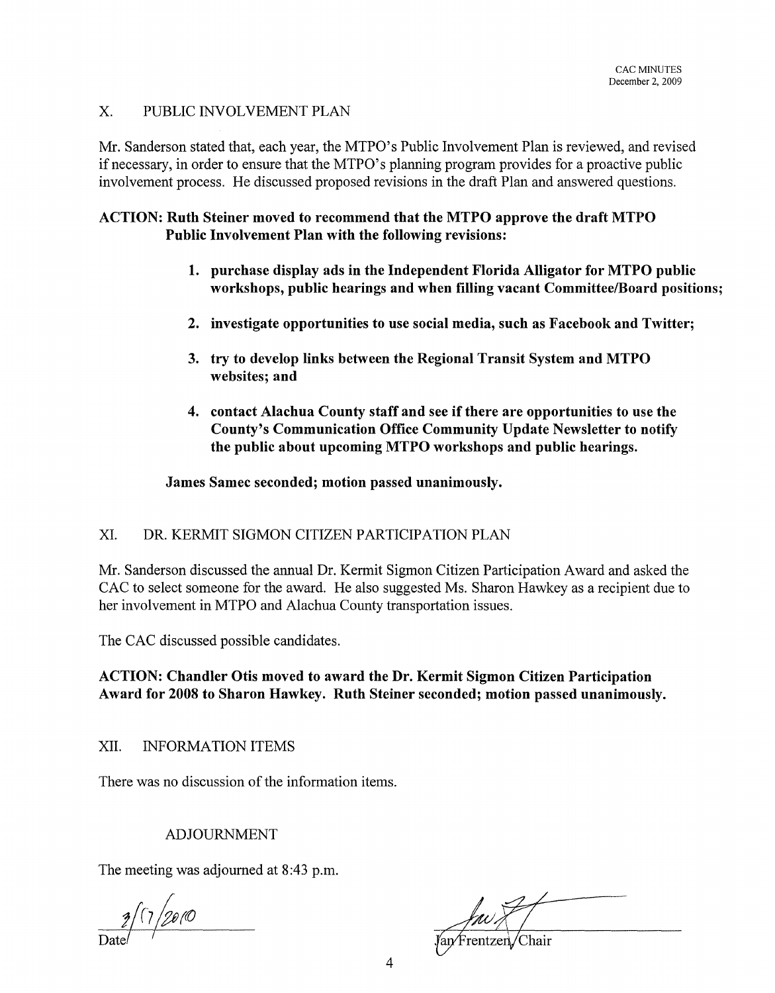### X. PUBLIC INVOLVEMENT PLAN

Mr. Sanderson stated that, each year, the MTPO's Public Involvement Plan is reviewed, and revised if necessary, in order to ensure that the MTPO's planning program provides for a proactive public involvement process. He discussed proposed revisions in the draft Plan and answered questions.

### ACTION: Ruth Steiner moved to recommend that the MTPO approve the draft MTPO Public Involvement Plan with the following revisions:

- 1. purchase display ads in the Independent Florida Alligator for MTPO public workshops, public hearings and when filling vacant Committee/Board positions;
- 2. investigate opportunities to use social media, such as Facebook and Twitter;
- 3. try to develop links between the Regional Transit System and MTPO websites; and
- 4. contact Alachua County staff and see if there are opportunities to use the County's Communication Office Community Update Newsletter to notify the public about upcoming MTPO workshops and public hearings.

### James Samec seconded; motion passed unanimously.

### XI. DR. KERMIT SIGMON CITIZEN PARTICIPATION PLAN

Mr. Sanderson discussed the annual Dr. Kermit Sigmon Citizen Participation Award and asked the CAC to select someone for the award. He also suggested Ms. Sharon Hawkey as a recipient due to her involvement in MTPO and Alachua County transportation issues.

The CAC discussed possible candidates.

ACTION: Chandler Otis moved to award the Dr. Kermit Sigmon Citizen Participation Award for 2008 to Sharon Hawkey. Ruth Steiner seconded; motion passed unanimously.

XII. INFORMATION ITEMS

There was no discussion of the information items.

## ADJOURNMENT

The meeting was adjourned at 8:43 p.m.

 $2/7/20/0$ 

*fau* XV<br>Jan Frentzen Chair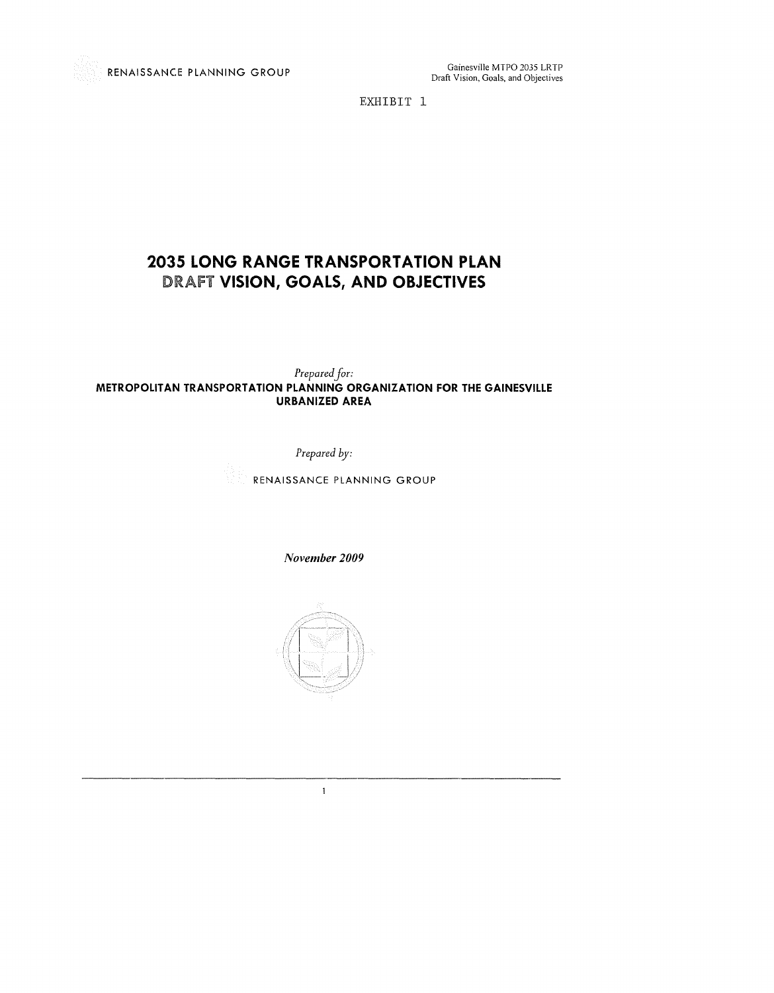EXHIBIT 1

# **2035 LONG RANGE TRANSPORTATION PLAN**  DRAFT **VISION, GOALS, AND OBJECTIVES**

*Prepared Jar:*  **METROPOLITAN TRANSPORTATION PLANNING ORGANIZATION FOR THE GAINESVILLE URBANIZED AREA** 

*Prepared by:* 

RENAISSANCE PLANNING GROUP

*November 2009* 



 $\mathbf{1}$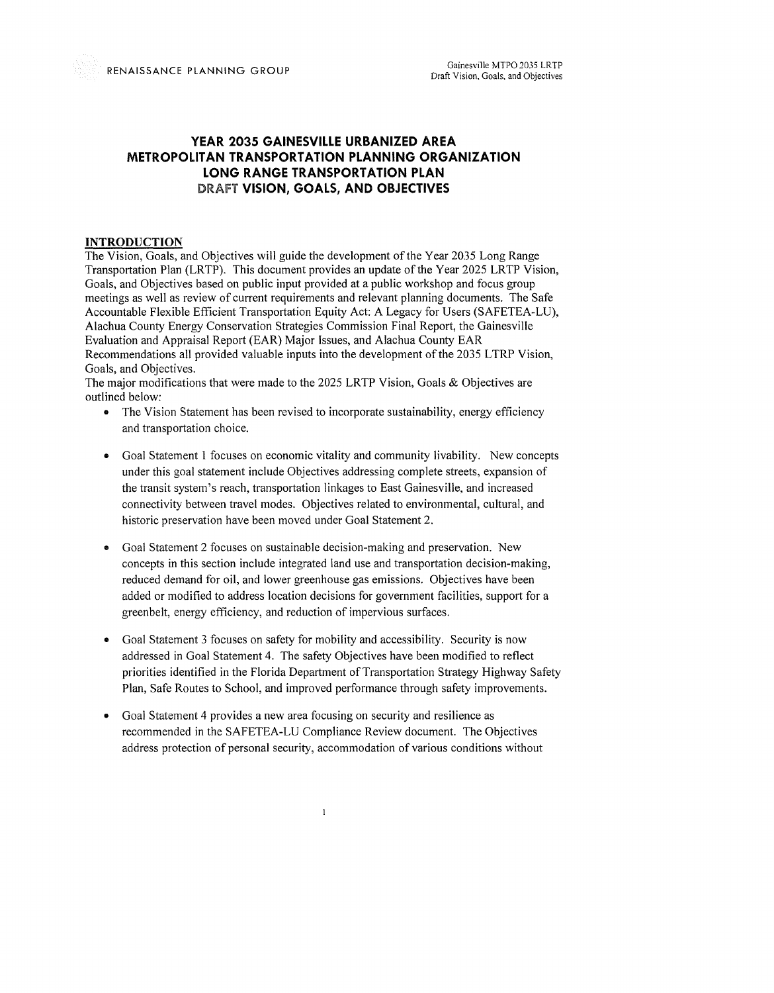#### **YEAR 2035 GAINESVILLE URBANIZED AREA METROPOLITAN TRANSPORTATION PLANNING ORGANIZATION LONG RANGE TRANSPORTATION PLAN**  DRAFT **VISION, GOALS, AND OBJECTIVES**

#### **INTRODUCTION**

The Vision, Goals, and Objectives will guide the development of the Year 2035 Long Range Transportation Plan (LRTP), This document provides an update of the Year 2025 LRTP Vision, Goals, and Objectives based on public input provided at a public workshop and focus group meetings as well as review of current requirements and relevant planning documents. The Safe Accountable Flexible Efficient Transportation Equity Act: A Legacy for Users (SAFETEA-LU), Alachua County Energy Conservation Strategies Commission Final Report, the Gainesville Evaluation and Appraisal Report (EAR) Major Issues, and Alachua County EAR Recommendations all provided valuable inputs into the development of the 2035 LTRP Vision, Goals, and Objectives.

The major modifications that were made to the 2025 LRTP Vision, Goals & Objectives are outlined below:

- The Vision Statement has been revised to incorporate sustainability, energy efficiency and transportation choice.
- Goal Statement I focuses on economic vitality and community livability. New concepts under this goal statement include Objectives addressing complete streets, expansion of the transit system's reach, transportation linkages to East Gainesville, and increased connectivity between travel modes. Objectives related to environmental, cultural, and historic preservation have been moved under Goal Statement 2.
- Goal Statement 2 focuses on sustainable decision-making and preservation, New concepts in this section include integrated land use and transportation decision-making, reduced demand for oil, and lower greenhouse gas emissions. Objectives have been added or modified to address location decisions for government facilities, support for a greenbelt, energy efficiency, and reduction of impervious surfaces.
- Goal Statement 3 focuses on safety for mobility and accessibility, Security is now addressed in Goal Statement 4. The safety Objectives have been modified to reflect priorities identified in the Florida Department of Transportation Strategy Highway Safety Plan, Safe Routes to School, and improved performance through safety improvements.
- Goal Statement 4 provides a new area focusing on security and resilience as recommended in the SAFETEA-LU Compliance Review document. The Objectives address protection of personal security, accommodation of various conditions without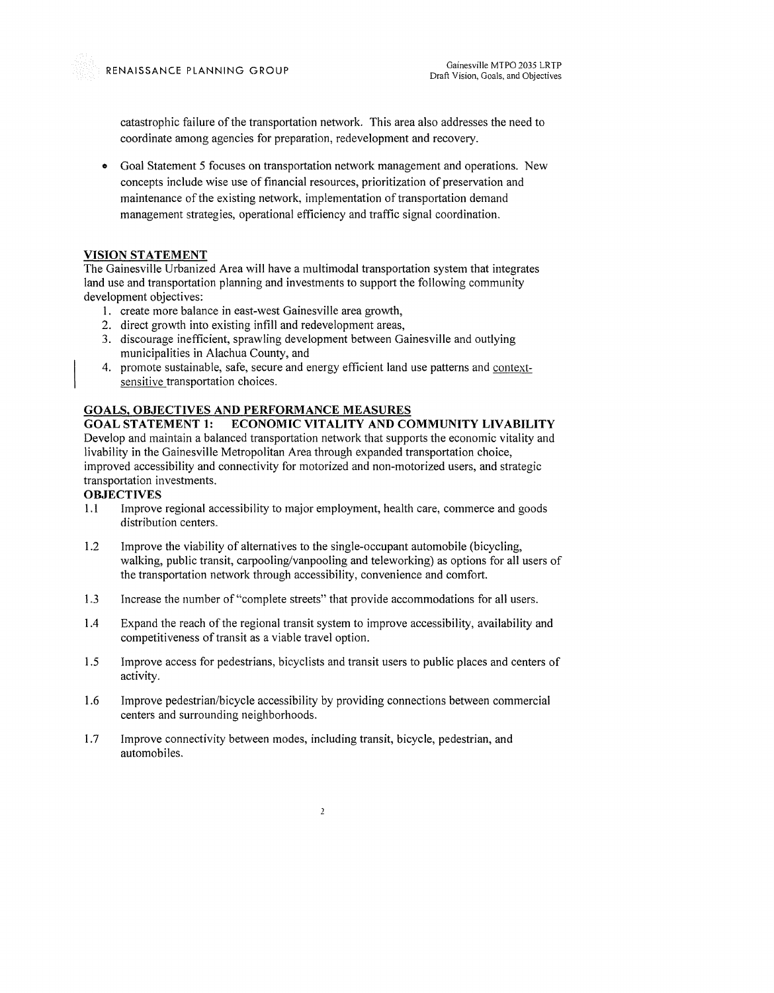catastrophic failure of the transportation network. This area also addresses the need to coordinate among agencies for preparation, redevelopment and recovery.

• Goal Statement 5 focuses on transportation network management and operations. New concepts include wise use of financial resources, prioritization of preservation and maintenance of the existing network, implementation of transportation demand management strategies, operational efficiency and traffic signal coordination.

#### **VISION STATEMENT**

The Gainesville Urbanized Area will have a multimodal transportation system that integrates land use and transportation planning and investments to support the following community development objectives:

- 1. create more balance in east-west Gainesville area growth,
- 2. direct growth into existing infill and redevelopment areas,
- 3. discourage inefficient, sprawling development between Gainesville and outlying municipalities in Alachua County, and
- 4. promote sustainable, safe, secure and energy efficient land use patterns and contextsensitive transportation choices.

#### **GOALS, OBJECTIVES AND PERFORMANCE MEASURES**

**GOAL STATEMENT 1: ECONOMIC VITALITY AND COMMUNITY LIVABILITY**  Develop and maintain a balanced transportation network that supports the economic vitality and livability in the Gainesville Metropolitan Area through expanded transportation choice, improved accessibility and connectivity for motorized and non-motorized users, and strategic transportation investments.

#### **OBJECTIVES**

- 1.1 Improve regional accessibility to major employment, health care, commerce and goods distribution centers.
- 1.2 Improve the viability of alternatives to the single-occupant automobile (bicycling, walking, public transit, carpooling/vanpooling and teleworking) as options for all users of the transportation network through accessibility, convenience and comfort.
- 1.3 Increase the number of "complete streets" that provide accommodations for all users.
- 1.4 Expand the reach of the regional transit system to improve accessibility, availability and competitiveness of transit as a viable travel option.
- 1.5 Improve access for pedestrians, bicyclists and transit users to public places and centers of activity.
- 1.6 Improve pedestrian/bicycle accessibility by providing connections between commercial centers and surrounding neighborhoods.
- 1.7 Improve connectivity between modes, including transit, bicycle, pedestrian, and automobiles.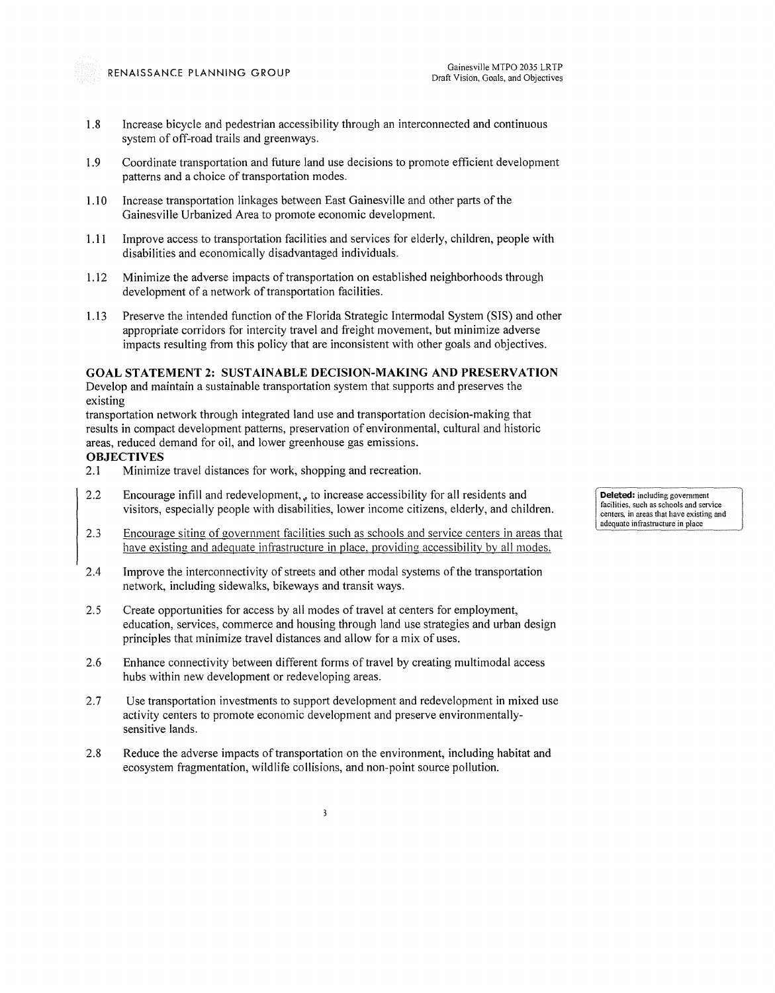- 1.8 Increase bicycle and pedestrian accessibility through an interconnected and continuous system of off-road trails and greenways.
- 1.9 Coordinate transportation and future land use decisions to promote efficient development patterns and a choice of transportation modes.
- 1.10 Increase transportation linkages between East Gainesville and other parts of the Gainesville Urbanized Area to promote economic development.
- 1.11 Improve access to transportation facilities and services for elderly, children, people with disabilities and economicalIy disadvantaged individuals.
- 1.12 Minimize the adverse impacts of transportation on established neighborhoods through development of a network of transportation facilities.
- 1.13 Preserve the intended function of the Florida Strategic Intermodal System (SIS) and other appropriate corridors for intercity travel and freight movement, but minimize adverse impacts resulting from this policy that are inconsistent with other goals and objectives.

#### **GOAL STATEMENT 2: SUSTAINABLE DECISION-MAKING AND PRESERVATION**

Develop and maintain a sustainable transportation system that supports and preserves the existing

transportation network through integrated land use and transportation decision-making that results in compact development patterns, preservation of environmental, cultural and historic areas, reduced demand for oil, and lower greenhouse gas emissions.

#### **OBJECTIVES**

- 2.1 Minimize travel distances for work, shopping and recreation.
- 2.2 Encourage infill and redevelopment,, to increase accessibility for all residents and visitors, especially people with disabilities, lower income citizens, elderly, and children.
- 2.3 Encourage siting of government facilities such as schools and service centers in areas that have existing and adequate infrastructure in place, providing accessibility by all modes.
- 2.4 Improve the interconnectivity of streets and other modal systems of the transportation network, including sidewalks, bikeways and transit ways.
- 2.5 Create opportunities for access by all modes of travel at centers for employment, education, services, commerce and housing through land use strategies and urban design principles that minimize travel distances and allow for a mix of uses.
- 2.6 Enhance connectivity between different forms of travel by creating multimodal access hubs within new development or redeveloping areas.
- 2.7 Use transportation investments to support development and redevelopment in mixed use activity centers to promote economic development and preserve environmentallysensitive lands.
- 2.8 Reduce the adverse impacts of transportation on the environment, including habitat and ecosystem fragmentation, wildlife collisions, and non-point source pollution.

**Deleted:** including government **facilities, such as schools and service centers, in areas that have existing and**  adequate infrastructure in place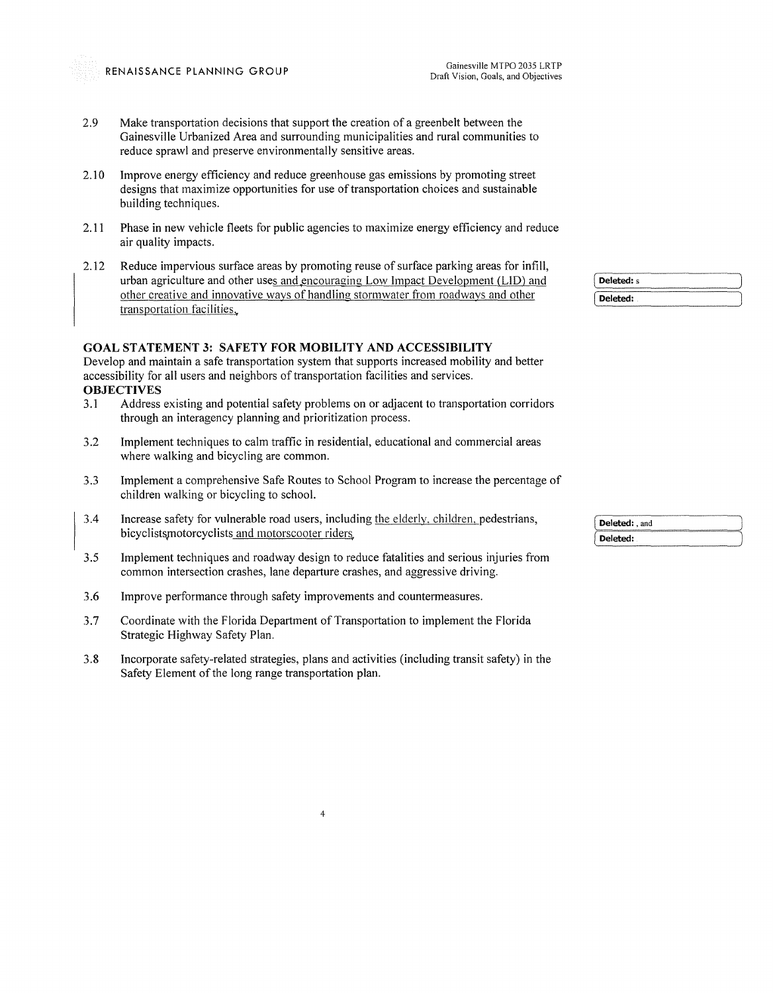- 2.9 Make transportation decisions that support the creation of a greenbelt between the Gainesville Urbanized Area and surrounding municipalities and rural communities to reduce sprawl and preserve environmentally sensitive areas.
- 2.10 Improve energy efficiency and reduce greenhouse gas emissions by promoting street designs that maximize opportunities for use of transportation choices and sustainable building techniques.
- 2.11 Phase in new vehicle fleets for public agencies to maximize energy efficiency and reduce air quality impacts.
- 2.12 Reduce impervious surface areas by promoting reuse of surface parking areas for infill, urban agriculture and other uses and encouraging Low Impact Development (LID) and other creative and innovative wavs of handling stormwater from roadways and other transportation facilities.

#### **GOAL STATEMENT 3: SAFETY FOR MOBILITY AND ACCESSIBILITY**

Develop and maintain a safe transportation system that supports increased mobility and better accessibility for all users and neighbors of transportation facilities and services.

- **OBJECTIVES**<br>3.1 Address Address existing and potential safety problems on or adjacent to transportation corridors through an interagency planning and prioritization process.
- 3.2 Implement techniques to calm traffic in residential, educational and commercial areas where walking and bicycling are common.
- 3.3 Implement a comprehensive Safe Routes to School Program to increase the percentage of children walking or bicycling to school.
- 3.4 Increase safety for vulnerable road users, including the elderly. children. pedestrians, bicyclists motorcyclists and motorscooter riders.
- 3.5 Implement techniques and roadway design to reduce fatalities and serious injuries from common intersection crashes, lane departure crashes, and aggressive driving.
- 3.6 Improve performance through safety improvements and countermeasures.
- 3.7 Coordinate with the Florida Department of Transportation to implement the Florida Strategic Highway Safety Plan.
- 3.8 Incorporate safety-related strategies, plans and activities (including transit safety) in the Safety Element of the long range transportation plan.

4

Deleted: s Deleted:

| Deleted: , and |  |
|----------------|--|
| Deleted:       |  |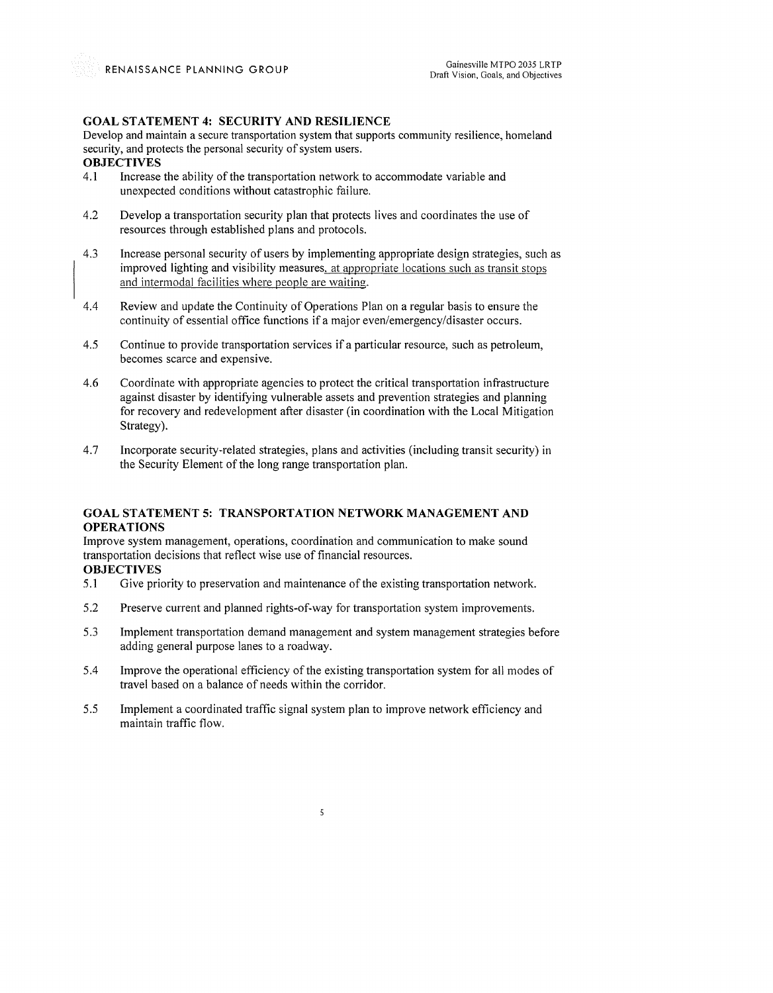#### **GOAL STATEMENT 4: SECURITY AND RESILIENCE**

Develop and maintain a secure transportation system that supports community resilience, homeland security, and protects the personal security of system users.

# **OBJECTIVES**<br>4.1 Increase

- Increase the ability of the transportation network to accommodate variable and unexpected conditions without catastrophic failure.
- 4.2 Develop a transportation security plan that protects lives and coordinates the use of resources through established plans and protocols.
- 4.3 Increase personal security of users by implementing appropriate design strategies, such as improved lighting and visibility measures. at appropriate locations such as transit stops and intermodal facilities where people are waiting.
- 4.4 Review and update the Continuity of Operations Plan on a regular basis to ensure the continuity of essential office functions if a major even/emergency/disaster occurs.
- 4.5 Continue to provide transportation services if a particular resource, such as petroleum, becomes scarce and expensive.
- 4.6 Coordinate with appropriate agencies to protect the critical transportation infrastructure against disaster by identifying vulnerable assets and prevention strategies and planning for recovery and redevelopment after disaster (in coordination with the Local Mitigation Strategy).
- 4.7 Incorporate security-related strategies, plans and activities (including transit security) in the Security Element of the long range transportation plan.

#### **GOAL STATEMENT 5: TRANSPORTATION NETWORK MANAGEMENT AND OPERATIONS**

Improve system management, operations, coordination and communication to make sound transportation decisions that reflect wise use of financial resources.

#### **OBJECTIVES**

- 5.1 Give priority to preservation and maintenance of the existing transportation network.
- 5.2 Preserve current and planned rights-of-way for transportation system improvements.
- 5.3 Implement transportation demand management and system management strategies before adding general purpose lanes to a roadway.
- 5.4 Improve the operational efficiency of the existing transportation system for all modes of travel based on a balance of needs within the corridor.
- 5.5 Implement a coordinated traffic signal system plan to improve network efficiency and maintain traffic flow.